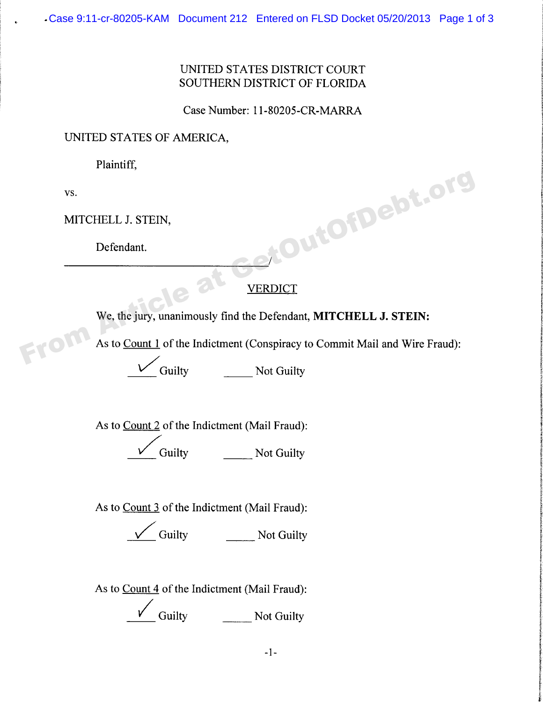## UNITED STATES DISTRICT COURT SOUTHERN DISTRICT OF FLORIDA

Case Number: 11-80205-CR-MARRA

## UNITED STATES OF AMERICA,

Plaintiff,

VS.

MITCHELL J. STEIN,

Defendant.

## **VERDICT**

We, the jury, unanimously find the Defendant, MITCHELL J. STEIN:

As to Count 1 of the Indictment (Conspiracy to Commit Mail and Wire Fraud): ERECT We, the jury, unanimously find the Defendant, MITCHELL J. STEIN:<br>
From As to <u>Count 1</u> of the Indictment (Conspiracy to Commit Mail and Wire Fraud).

Guilty Not Guilty

As to Count 2 of the Indictment (Mai1 Fraud): Guilty **Not Guilty** 

As to Count 3 of the Indictment (Mail Fraud):

 $\overline{\phantom{a}}$  Guilty  $\overline{\phantom{a}}$  Not Guilty

As to Count 4 of the Indictment (Mail Fraud):

Guilty Not Guilty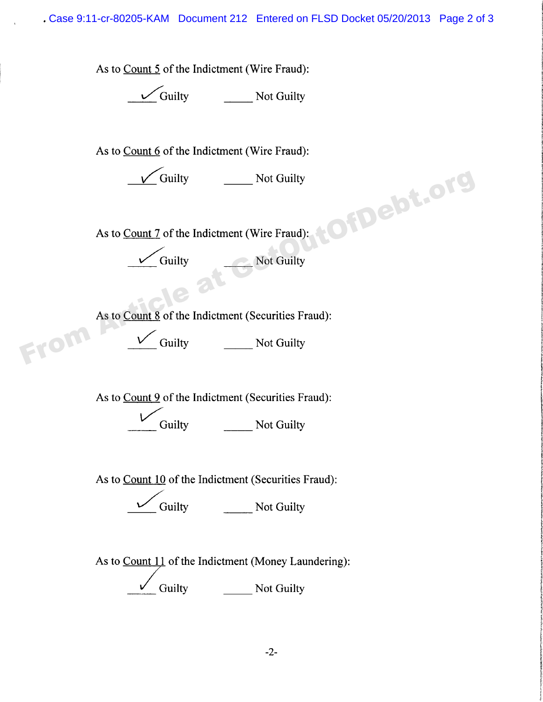Case 9:11-cr-80205-KAM Document 212 Entered on FLSD Docket 05/20/2013 Page 2 of 3

As to Count 5 of the Indictment (Wire Fraud):

Guilty **Not Guilty** 

As to Count  $6$  of the Indictment (Wire Fraud):

Guilty **Not Guilty** 

As to **Count 7** of the Indictment (Wire Fraud):

Guilty Not Guilty

As to Count 8 of the Indictment (Securities Fraud): V Guilty<br>
As to <u>Count 7</u> of the Indictment (Wire Fraud):<br>
V Guilty<br>
As to <u>Count 8</u> of the Indictment (Securities Fraud):<br>
V Guilty<br>
Not Guilty<br>
Not Guilty<br>
Not Guilty<br>
Not Guilty<br>
Not Guilty<br>
Not Guilty<br>
Not Guilty<br>
Not

a Guilty **Not Guilty** 

As to Count 9 of the Indictment (Securities Fraud):

Guilty Not Guilty

As to Count 10 of the Indictment (Securities Fraud):

Guilty **Not Guilty** 

As to Count 11 of the Indictment (Money Laundering): Guilty Not Guilty